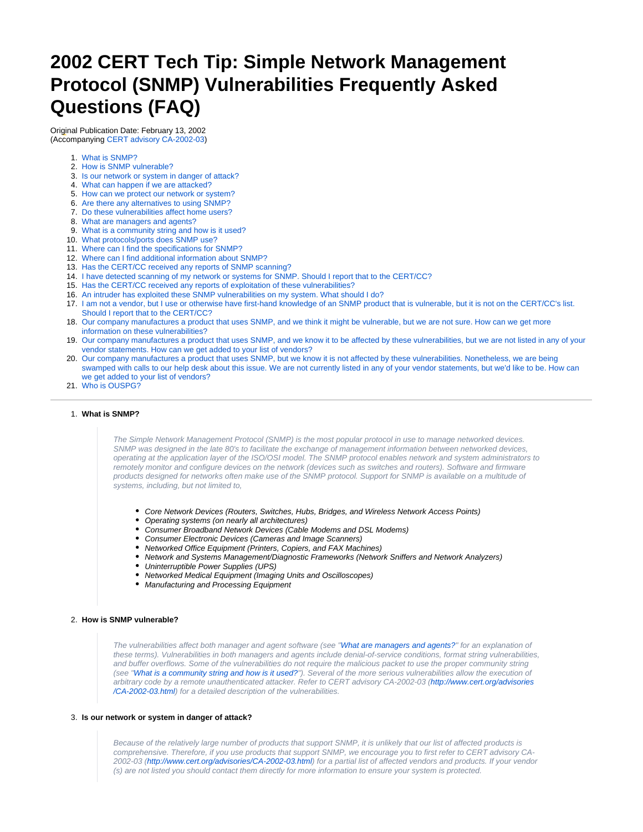# **2002 CERT Tech Tip: Simple Network Management Protocol (SNMP) Vulnerabilities Frequently Asked Questions (FAQ)**

Original Publication Date: February 13, 2002 (Accompanying [CERT advisory CA-2002-03\)](http://www.cert.org/advisories/CA-2002-03.html)

- 1. [What is SNMP?](#page-0-0)
- 2. [How is SNMP vulnerable?](#page-0-1)
- 3. [Is our network or system in danger of attack?](#page-0-2)
- 4. [What can happen if we are attacked?](#page-1-0)
- 5. [How can we protect our network or system?](#page-1-1)
- 6. [Are there any alternatives to using SNMP?](#page-1-2)
- 7. [Do these vulnerabilities affect home users?](#page-1-3)
- 8. [What are managers and agents?](#page-1-4)
- 9. [What is a community string and how is it used?](#page-1-5)
- 10. [What protocols/ports does SNMP use?](#page-1-6)
- 11. [Where can I find the specifications for SNMP?](#page-2-0)
- 12. [Where can I find additional information about SNMP?](#page-2-1)
- 13. [Has the CERT/CC received any reports of SNMP scanning?](#page-2-2)
- 14. [I have detected scanning of my network or systems for SNMP. Should I report that to the CERT/CC?](#page-2-3)
- 15. [Has the CERT/CC received any reports of exploitation of these vulnerabilities?](#page-2-4)
- 16. [An intruder has exploited these SNMP vulnerabilities on my system. What should I do?](#page-2-5)
- 17. [I am not a vendor, but I use or otherwise have first-hand knowledge of an SNMP product that is vulnerable, but it is not on the CERT/CC's list.](#page-2-6)  [Should I report that to the CERT/CC?](#page-2-6)
- 18. [Our company manufactures a product that uses SNMP, and we think it might be vulnerable, but we are not sure. How can we get more](#page-3-0)  [information on these vulnerabilities?](#page-3-0)
- 19. [Our company manufactures a product that uses SNMP, and we know it to be affected by these vulnerabilities, but we are not listed in any of your](#page-3-1)  [vendor statements. How can we get added to your list of vendors?](#page-3-1)
- 20. [Our company manufactures a product that uses SNMP, but we know it is not affected by these vulnerabilities. Nonetheless, we are being](#page-3-2)  [swamped with calls to our help desk about this issue. We are not currently listed in any of your vendor statements, but we'd like to be. How can](#page-3-2)  [we get added to your list of vendors?](#page-3-2)
- 21. [Who is OUSPG?](#page-3-3)

## <span id="page-0-0"></span>1. **What is SNMP?**

The Simple Network Management Protocol (SNMP) is the most popular protocol in use to manage networked devices. SNMP was designed in the late 80's to facilitate the exchange of management information between networked devices, operating at the application layer of the ISO/OSI model. The SNMP protocol enables network and system administrators to remotely monitor and configure devices on the network (devices such as switches and routers). Software and firmware products designed for networks often make use of the SNMP protocol. Support for SNMP is available on a multitude of systems, including, but not limited to,

- Core Network Devices (Routers, Switches, Hubs, Bridges, and Wireless Network Access Points)
- Operating systems (on nearly all architectures)
- Consumer Broadband Network Devices (Cable Modems and DSL Modems)
- Consumer Electronic Devices (Cameras and Image Scanners)
- Networked Office Equipment (Printers, Copiers, and FAX Machines)
- Network and Systems Management/Diagnostic Frameworks (Network Sniffers and Network Analyzers)
- Uninterruptible Power Supplies (UPS)
- Networked Medical Equipment (Imaging Units and Oscilloscopes)
- Manufacturing and Processing Equipment

#### <span id="page-0-1"></span>2. **How is SNMP vulnerable?**

The vulnerabilities affect both manager and agent software (see "[What are managers and agents?"](#page-1-4) for an explanation of these terms). Vulnerabilities in both managers and agents include denial-of-service conditions, format string vulnerabilities, and buffer overflows. Some of the vulnerabilities do not require the malicious packet to use the proper community string (see ["What is a community string and how is it used?"](#page-1-5)). Several of the more serious vulnerabilities allow the execution of arbitrary code by a remote unauthenticated attacker. Refer to CERT advisory CA-2002-03 [\(http://www.cert.org/advisories](http://www.cert.org/advisories/CA-2002-03.html) [/CA-2002-03.html\)](http://www.cert.org/advisories/CA-2002-03.html) for a detailed description of the vulnerabilities.

#### <span id="page-0-2"></span>3. **Is our network or system in danger of attack?**

Because of the relatively large number of products that support SNMP, it is unlikely that our list of affected products is comprehensive. Therefore, if you use products that support SNMP, we encourage you to first refer to CERT advisory CA-2002-03 [\(http://www.cert.org/advisories/CA-2002-03.html](http://www.cert.org/advisories/CA-2002-03.html)) for a partial list of affected vendors and products. If your vendor (s) are not listed you should contact them directly for more information to ensure your system is protected.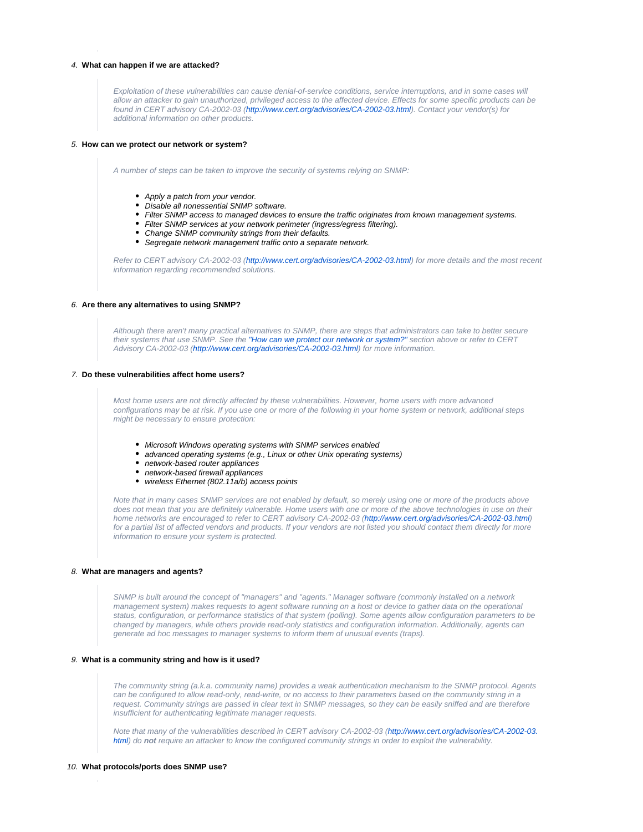# <span id="page-1-0"></span>4. **What can happen if we are attacked?**

Exploitation of these vulnerabilities can cause denial-of-service conditions, service interruptions, and in some cases will allow an attacker to gain unauthorized, privileged access to the affected device. Effects for some specific products can be found in CERT advisory CA-2002-03 [\(http://www.cert.org/advisories/CA-2002-03.html](http://www.cert.org/advisories/CA-2002-03.html)). Contact your vendor(s) for additional information on other products.

#### <span id="page-1-1"></span>5. **How can we protect our network or system?**

A number of steps can be taken to improve the security of systems relying on SNMP:

- Apply a patch from your vendor.
- Disable all nonessential SNMP software.
- Filter SNMP access to managed devices to ensure the traffic originates from known management systems.
- Filter SNMP services at your network perimeter (ingress/egress filtering).
- Change SNMP community strings from their defaults.
- Segregate network management traffic onto a separate network.

Refer to CERT advisory CA-2002-03 [\(http://www.cert.org/advisories/CA-2002-03.html](http://www.cert.org/advisories/CA-2002-03.html)) for more details and the most recent information regarding recommended solutions.

#### <span id="page-1-2"></span>6. **Are there any alternatives to using SNMP?**

Although there aren't many practical alternatives to SNMP, there are steps that administrators can take to better secure their systems that use SNMP. See the ["How can we protect our network or system?"](#page-1-1) section above or refer to CERT Advisory CA-2002-03 (<http://www.cert.org/advisories/CA-2002-03.html>) for more information.

#### <span id="page-1-3"></span>7. **Do these vulnerabilities affect home users?**

Most home users are not directly affected by these vulnerabilities. However, home users with more advanced configurations may be at risk. If you use one or more of the following in your home system or network, additional steps might be necessary to ensure protection:

- Microsoft Windows operating systems with SNMP services enabled
- advanced operating systems (e.g., Linux or other Unix operating systems)
- network-based router appliances
- network-based firewall appliances
- wireless Ethernet (802.11a/b) access points

Note that in many cases SNMP services are not enabled by default, so merely using one or more of the products above does not mean that you are definitely vulnerable. Home users with one or more of the above technologies in use on their home networks are encouraged to refer to CERT advisory CA-2002-03 [\(http://www.cert.org/advisories/CA-2002-03.html](http://www.cert.org/advisories/CA-2002-03.html)) for a partial list of affected vendors and products. If your vendors are not listed you should contact them directly for more information to ensure your system is protected.

#### <span id="page-1-4"></span>8. **What are managers and agents?**

SNMP is built around the concept of "managers" and "agents." Manager software (commonly installed on a network management system) makes requests to agent software running on a host or device to gather data on the operational status, configuration, or performance statistics of that system (polling). Some agents allow configuration parameters to be changed by managers, while others provide read-only statistics and configuration information. Additionally, agents can generate ad hoc messages to manager systems to inform them of unusual events (traps).

#### <span id="page-1-5"></span>9. **What is a community string and how is it used?**

The community string (a.k.a. community name) provides a weak authentication mechanism to the SNMP protocol. Agents can be configured to allow read-only, read-write, or no access to their parameters based on the community string in a request. Community strings are passed in clear text in SNMP messages, so they can be easily sniffed and are therefore insufficient for authenticating legitimate manager requests.

Note that many of the vulnerabilities described in CERT advisory CA-2002-03 [\(http://www.cert.org/advisories/CA-2002-03.](http://www.cert.org/advisories/CA-2002-03.html) [html](http://www.cert.org/advisories/CA-2002-03.html)) do **not** require an attacker to know the configured community strings in order to exploit the vulnerability.

#### <span id="page-1-6"></span>10. **What protocols/ports does SNMP use?**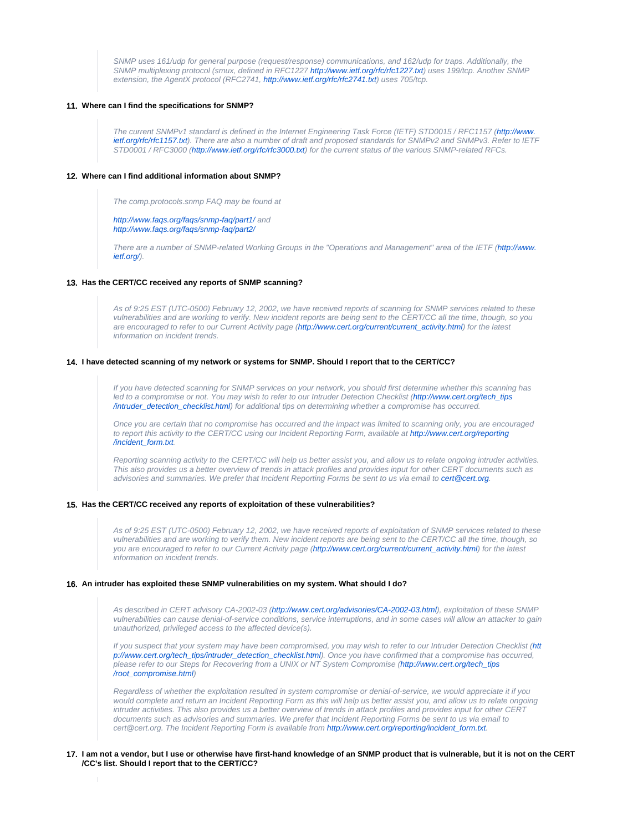SNMP uses 161/udp for general purpose (request/response) communications, and 162/udp for traps. Additionally, the SNMP multiplexing protocol (smux, defined in RFC1227 <http://www.ietf.org/rfc/rfc1227.txt>) uses 199/tcp. Another SNMP extension, the AgentX protocol (RFC2741, [http://www.ietf.org/rfc/rfc2741.txt\)](http://www.ietf.org/rfc/rfc2741.txt) uses 705/tcp.

## <span id="page-2-0"></span>11. **Where can I find the specifications for SNMP?**

The current SNMPv1 standard is defined in the Internet Engineering Task Force (IETF) STD0015 / RFC1157 [\(http://www.](http://www.ietf.org/rfc/rfc1157.txt) [ietf.org/rfc/rfc1157.txt](http://www.ietf.org/rfc/rfc1157.txt)). There are also a number of draft and proposed standards for SNMPv2 and SNMPv3. Refer to IETF STD0001 / RFC3000 (<http://www.ietf.org/rfc/rfc3000.txt>) for the current status of the various SNMP-related RFCs.

## <span id="page-2-1"></span>12. **Where can I find additional information about SNMP?**

The comp.protocols.snmp FAQ may be found at

<http://www.faqs.org/faqs/snmp-faq/part1/> and <http://www.faqs.org/faqs/snmp-faq/part2/>

There are a number of SNMP-related Working Groups in the "Operations and Management" area of the IETF ([http://www.](http://www.ietf.org/) [ietf.org/](http://www.ietf.org/)).

## <span id="page-2-2"></span>13. **Has the CERT/CC received any reports of SNMP scanning?**

As of 9:25 EST (UTC-0500) February 12, 2002, we have received reports of scanning for SNMP services related to these vulnerabilities and are working to verify. New incident reports are being sent to the CERT/CC all the time, though, so you are encouraged to refer to our Current Activity page ([http://www.cert.org/current/current\\_activity.html\)](http://www.cert.org/current/current_activity.html) for the latest information on incident trends.

#### <span id="page-2-3"></span>14. **I have detected scanning of my network or systems for SNMP. Should I report that to the CERT/CC?**

If you have detected scanning for SNMP services on your network, you should first determine whether this scanning has led to a compromise or not. You may wish to refer to our Intruder Detection Checklist ([http://www.cert.org/tech\\_tips](http://www.cert.org/tech_tips/intruder_detection_checklist.html) [/intruder\\_detection\\_checklist.html](http://www.cert.org/tech_tips/intruder_detection_checklist.html)) for additional tips on determining whether a compromise has occurred.

Once you are certain that no compromise has occurred and the impact was limited to scanning only, you are encouraged to report this activity to the CERT/CC using our Incident Reporting Form, available at [http://www.cert.org/reporting](http://www.cert.org/reporting/incident_form.txt) [/incident\\_form.txt](http://www.cert.org/reporting/incident_form.txt).

Reporting scanning activity to the CERT/CC will help us better assist you, and allow us to relate ongoing intruder activities. This also provides us a better overview of trends in attack profiles and provides input for other CERT documents such as advisories and summaries. We prefer that Incident Reporting Forms be sent to us via email to [cert@cert.org.](mailto:cert@cert.org)

#### <span id="page-2-4"></span>15. **Has the CERT/CC received any reports of exploitation of these vulnerabilities?**

As of 9:25 EST (UTC-0500) February 12, 2002, we have received reports of exploitation of SNMP services related to these vulnerabilities and are working to verify them. New incident reports are being sent to the CERT/CC all the time, though, so you are encouraged to refer to our Current Activity page [\(http://www.cert.org/current/current\\_activity.html\)](http://www.cert.org/current/current_activity.html) for the latest information on incident trends.

#### <span id="page-2-5"></span>16. **An intruder has exploited these SNMP vulnerabilities on my system. What should I do?**

As described in CERT advisory CA-2002-03 (<http://www.cert.org/advisories/CA-2002-03.html>), exploitation of these SNMP vulnerabilities can cause denial-of-service conditions, service interruptions, and in some cases will allow an attacker to gain unauthorized, privileged access to the affected device(s).

If you suspect that your system may have been compromised, you may wish to refer to our Intruder Detection Checklist [\(htt](http://www.cert.org/tech_tips/intruder_detection_checklist.html) [p://www.cert.org/tech\\_tips/intruder\\_detection\\_checklist.html\)](http://www.cert.org/tech_tips/intruder_detection_checklist.html). Once you have confirmed that a compromise has occurred, please refer to our Steps for Recovering from a UNIX or NT System Compromise [\(http://www.cert.org/tech\\_tips](http://www.cert.org/tech_tips/root_compromise.html) [/root\\_compromise.html](http://www.cert.org/tech_tips/root_compromise.html))

Regardless of whether the exploitation resulted in system compromise or denial-of-service, we would appreciate it if you would complete and return an Incident Reporting Form as this will help us better assist you, and allow us to relate ongoing intruder activities. This also provides us a better overview of trends in attack profiles and provides input for other CERT documents such as advisories and summaries. We prefer that Incident Reporting Forms be sent to us via email to cert@cert.org. The Incident Reporting Form is available from [http://www.cert.org/reporting/incident\\_form.txt.](http://www.cert.org/reporting/incident_form.txt)

## <span id="page-2-6"></span>17. **I am not a vendor, but I use or otherwise have first-hand knowledge of an SNMP product that is vulnerable, but it is not on the CERT /CC's list. Should I report that to the CERT/CC?**